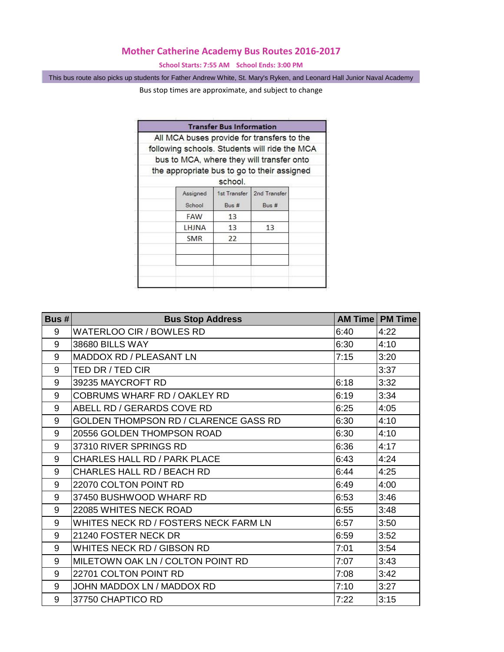## **Mother Catherine Academy Bus Routes 2016-2017**

**School Starts: 7:55 AM School Ends: 3:00 PM**

This bus route also picks up students for Father Andrew White, St. Mary's Ryken, and Leonard Hall Junior Naval Academy

Bus stop times are approximate, and subject to change

|                                               | <b>Transfer Bus Information</b> |                                           |  |
|-----------------------------------------------|---------------------------------|-------------------------------------------|--|
| All MCA buses provide for transfers to the    |                                 |                                           |  |
| following schools. Students will ride the MCA |                                 |                                           |  |
|                                               |                                 | bus to MCA, where they will transfer onto |  |
| the appropriate bus to go to their assigned   |                                 |                                           |  |
|                                               | school.                         |                                           |  |
| Assigned<br>School                            | 1st Transfer<br>Bus #           | 2nd Transfer<br>Bus #                     |  |
| FAW                                           | 13                              |                                           |  |
| LHJNA                                         | 13                              | 13                                        |  |
| <b>SMR</b>                                    | 22                              |                                           |  |
|                                               |                                 |                                           |  |
|                                               |                                 |                                           |  |
|                                               |                                 |                                           |  |
|                                               |                                 |                                           |  |

| Bus $# $ | <b>Bus Stop Address</b>               |      | <b>AM Time   PM Time</b> |
|----------|---------------------------------------|------|--------------------------|
| 9        | WATERLOO CIR / BOWLES RD              | 6:40 | 4:22                     |
| 9        | 38680 BILLS WAY                       | 6:30 | 4:10                     |
| 9        | MADDOX RD / PLEASANT LN               | 7:15 | 3:20                     |
| 9        | TED DR / TED CIR                      |      | 3:37                     |
| 9        | 39235 MAYCROFT RD                     | 6:18 | 3:32                     |
| 9        | COBRUMS WHARF RD / OAKLEY RD          | 6:19 | 3:34                     |
| 9        | ABELL RD / GERARDS COVE RD            | 6:25 | 4:05                     |
| 9        | GOLDEN THOMPSON RD / CLARENCE GASS RD | 6:30 | 4:10                     |
| 9        | 20556 GOLDEN THOMPSON ROAD            | 6:30 | 4:10                     |
| 9        | 37310 RIVER SPRINGS RD                | 6:36 | 4:17                     |
| 9        | <b>CHARLES HALL RD / PARK PLACE</b>   | 6:43 | 4:24                     |
| 9        | <b>CHARLES HALL RD / BEACH RD</b>     | 6:44 | 4:25                     |
| 9        | 22070 COLTON POINT RD                 | 6:49 | 4:00                     |
| 9        | 37450 BUSHWOOD WHARF RD               | 6:53 | 3:46                     |
| 9        | 22085 WHITES NECK ROAD                | 6:55 | 3:48                     |
| 9        | WHITES NECK RD / FOSTERS NECK FARM LN | 6:57 | 3:50                     |
| 9        | 21240 FOSTER NECK DR                  | 6:59 | 3:52                     |
| 9        | WHITES NECK RD / GIBSON RD            | 7:01 | 3:54                     |
| 9        | MILETOWN OAK LN / COLTON POINT RD     | 7:07 | 3:43                     |
| 9        | 22701 COLTON POINT RD                 | 7:08 | 3:42                     |
| 9        | JOHN MADDOX LN / MADDOX RD            | 7:10 | 3:27                     |
| 9        | 37750 CHAPTICO RD                     | 7:22 | 3:15                     |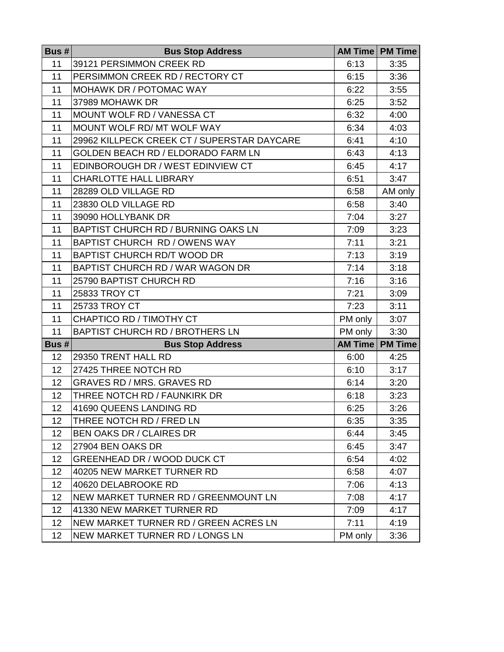| Bus $# $        | <b>Bus Stop Address</b>                     |         | <b>AM Time   PM Time</b> |
|-----------------|---------------------------------------------|---------|--------------------------|
| 11              | 39121 PERSIMMON CREEK RD                    | 6:13    | 3:35                     |
| 11              | PERSIMMON CREEK RD / RECTORY CT             | 6:15    | 3:36                     |
| 11              | <b>MOHAWK DR / POTOMAC WAY</b>              | 6:22    | 3:55                     |
| 11              | 37989 MOHAWK DR                             | 6:25    | 3:52                     |
| 11              | MOUNT WOLF RD / VANESSA CT                  | 6:32    | 4:00                     |
| 11              | MOUNT WOLF RD/ MT WOLF WAY                  | 6:34    | 4:03                     |
| 11              | 29962 KILLPECK CREEK CT / SUPERSTAR DAYCARE | 6:41    | 4:10                     |
| 11              | GOLDEN BEACH RD / ELDORADO FARM LN          | 6:43    | 4:13                     |
| 11              | EDINBOROUGH DR / WEST EDINVIEW CT           | 6:45    | 4:17                     |
| 11              | <b>CHARLOTTE HALL LIBRARY</b>               | 6:51    | 3:47                     |
| 11              | 28289 OLD VILLAGE RD                        | 6:58    | AM only                  |
| 11              | 23830 OLD VILLAGE RD                        | 6:58    | 3:40                     |
| 11              | 39090 HOLLYBANK DR                          | 7:04    | 3:27                     |
| 11              | BAPTIST CHURCH RD / BURNING OAKS LN         | 7:09    | 3:23                     |
| 11              | <b>BAPTIST CHURCH RD / OWENS WAY</b>        | 7:11    | 3:21                     |
| 11              | <b>BAPTIST CHURCH RD/T WOOD DR</b>          | 7:13    | 3:19                     |
| 11              | BAPTIST CHURCH RD / WAR WAGON DR            | 7:14    | 3:18                     |
| 11              | 25790 BAPTIST CHURCH RD                     | 7:16    | 3:16                     |
| 11              | 25833 TROY CT                               | 7:21    | 3:09                     |
| 11              | 25733 TROY CT                               | 7:23    | 3:11                     |
| 11              | CHAPTICO RD / TIMOTHY CT                    | PM only | 3:07                     |
| 11              | <b>BAPTIST CHURCH RD / BROTHERS LN</b>      | PM only | 3:30                     |
| Bus #           | <b>Bus Stop Address</b>                     |         | <b>AM Time   PM Time</b> |
| 12              | 29350 TRENT HALL RD                         | 6:00    | 4:25                     |
| 12              | 27425 THREE NOTCH RD                        | 6:10    | 3:17                     |
| 12              | <b>GRAVES RD / MRS. GRAVES RD</b>           | 6:14    | 3:20                     |
| 12              | THREE NOTCH RD / FAUNKIRK DR                | 6:18    | 3:23                     |
| 12              | 41690 QUEENS LANDING RD                     | 6:25    | 3:26                     |
| 12              | THREE NOTCH RD / FRED LN                    | 6:35    | 3:35                     |
| 12              | <b>BEN OAKS DR / CLAIRES DR</b>             | 6:44    | 3:45                     |
| 12              | 27904 BEN OAKS DR                           | 6:45    | 3:47                     |
| 12 <sup>2</sup> | GREENHEAD DR / WOOD DUCK CT                 | 6:54    | 4:02                     |
| 12              | 40205 NEW MARKET TURNER RD                  | 6:58    | 4:07                     |
| 12              | 40620 DELABROOKE RD                         | 7:06    | 4:13                     |
| 12              | NEW MARKET TURNER RD / GREENMOUNT LN        | 7:08    | 4:17                     |
| 12              | 41330 NEW MARKET TURNER RD                  | 7:09    | 4:17                     |
| 12              | NEW MARKET TURNER RD / GREEN ACRES LN       | 7:11    | 4:19                     |
| 12              | NEW MARKET TURNER RD / LONGS LN             | PM only | 3:36                     |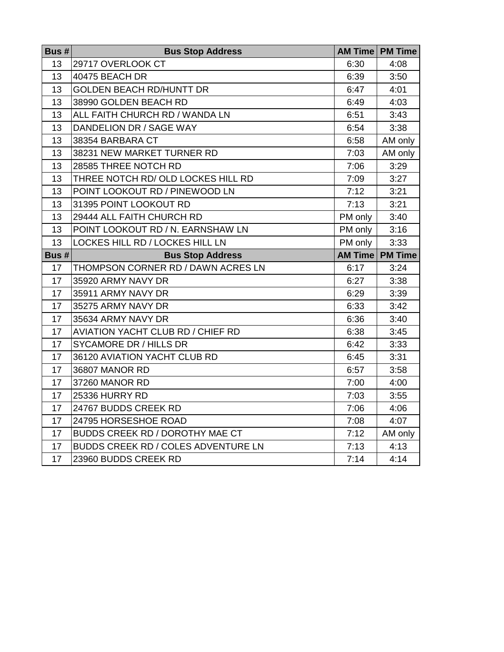| Bus # | <b>Bus Stop Address</b>                | <b>AM Time</b> | <b>PM Time</b>           |
|-------|----------------------------------------|----------------|--------------------------|
| 13    | 29717 OVERLOOK CT                      | 6:30           | 4:08                     |
| 13    | 40475 BEACH DR                         | 6:39           | 3:50                     |
| 13    | <b>GOLDEN BEACH RD/HUNTT DR</b>        | 6:47           | 4:01                     |
| 13    | 38990 GOLDEN BEACH RD                  | 6:49           | 4:03                     |
| 13    | ALL FAITH CHURCH RD / WANDA LN         | 6:51           | 3:43                     |
| 13    | DANDELION DR / SAGE WAY                | 6:54           | 3:38                     |
| 13    | 38354 BARBARA CT                       | 6:58           | AM only                  |
| 13    | 38231 NEW MARKET TURNER RD             | 7:03           | AM only                  |
| 13    | 28585 THREE NOTCH RD                   | 7:06           | 3:29                     |
| 13    | THREE NOTCH RD/ OLD LOCKES HILL RD     | 7:09           | 3:27                     |
| 13    | POINT LOOKOUT RD / PINEWOOD LN         | 7:12           | 3:21                     |
| 13    | 31395 POINT LOOKOUT RD                 | 7:13           | 3:21                     |
| 13    | 29444 ALL FAITH CHURCH RD              | PM only        | 3:40                     |
| 13    | POINT LOOKOUT RD / N. EARNSHAW LN      | PM only        | 3:16                     |
| 13    | LOCKES HILL RD / LOCKES HILL LN        | PM only        | 3:33                     |
| Bus # | <b>Bus Stop Address</b>                |                | <b>AM Time   PM Time</b> |
| 17    | THOMPSON CORNER RD / DAWN ACRES LN     | 6:17           | 3:24                     |
| 17    | 35920 ARMY NAVY DR                     | 6:27           | 3:38                     |
| 17    | 35911 ARMY NAVY DR                     | 6:29           | 3:39                     |
| 17    | 35275 ARMY NAVY DR                     | 6:33           | 3:42                     |
| 17    | 35634 ARMY NAVY DR                     | 6:36           | 3:40                     |
| 17    | AVIATION YACHT CLUB RD / CHIEF RD      | 6:38           | 3:45                     |
| 17    | <b>SYCAMORE DR / HILLS DR</b>          | 6:42           | 3:33                     |
| 17    | 36120 AVIATION YACHT CLUB RD           | 6:45           | 3:31                     |
| 17    | 36807 MANOR RD                         | 6:57           | 3:58                     |
| 17    | 37260 MANOR RD                         | 7:00           | 4:00                     |
| 17    | 25336 HURRY RD                         | 7:03           | 3:55                     |
| 17    | 24767 BUDDS CREEK RD                   | 7:06           | 4:06                     |
| 17    | 24795 HORSESHOE ROAD                   | 7:08           | 4:07                     |
| 17    | <b>BUDDS CREEK RD / DOROTHY MAE CT</b> | 7:12           | AM only                  |
| 17    | BUDDS CREEK RD / COLES ADVENTURE LN    | 7:13           | 4:13                     |
| 17    | 23960 BUDDS CREEK RD                   | 7:14           | 4:14                     |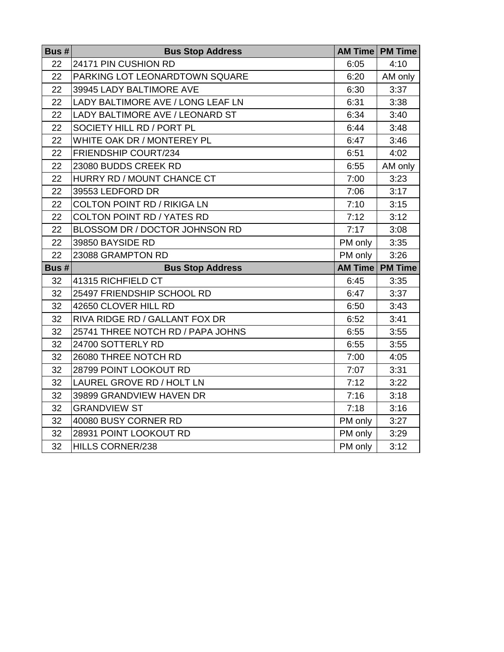| Bus $#$ | <b>Bus Stop Address</b>            |                | <b>AM Time   PM Time</b> |
|---------|------------------------------------|----------------|--------------------------|
| 22      | 24171 PIN CUSHION RD               | 6:05           | 4:10                     |
| 22      | PARKING LOT LEONARDTOWN SQUARE     | 6:20           | AM only                  |
| 22      | 39945 LADY BALTIMORE AVE           | 6:30           | 3:37                     |
| 22      | LADY BALTIMORE AVE / LONG LEAF LN  | 6:31           | 3:38                     |
| 22      | LADY BALTIMORE AVE / LEONARD ST    | 6:34           | 3:40                     |
| 22      | SOCIETY HILL RD / PORT PL          | 6:44           | 3:48                     |
| 22      | WHITE OAK DR / MONTEREY PL         | 6:47           | 3:46                     |
| 22      | FRIENDSHIP COURT/234               | 6:51           | 4:02                     |
| 22      | 23080 BUDDS CREEK RD               | 6:55           | AM only                  |
| 22      | HURRY RD / MOUNT CHANCE CT         | 7:00           | 3:23                     |
| 22      | 39553 LEDFORD DR                   | 7:06           | 3:17                     |
| 22      | <b>COLTON POINT RD / RIKIGA LN</b> | 7:10           | 3:15                     |
| 22      | <b>COLTON POINT RD / YATES RD</b>  | 7:12           | 3:12                     |
| 22      | BLOSSOM DR / DOCTOR JOHNSON RD     | 7:17           | 3:08                     |
| 22      | 39850 BAYSIDE RD                   | PM only        | 3:35                     |
| 22      | 23088 GRAMPTON RD                  | PM only        | 3:26                     |
| Bus #   | <b>Bus Stop Address</b>            | <b>AM Time</b> | <b>PM Time</b>           |
| 32      | 41315 RICHFIELD CT                 | 6:45           | 3:35                     |
| 32      | 25497 FRIENDSHIP SCHOOL RD         | 6:47           | 3:37                     |
| 32      | 42650 CLOVER HILL RD               | 6:50           | 3:43                     |
| 32      | RIVA RIDGE RD / GALLANT FOX DR     | 6:52           | 3:41                     |
| 32      | 25741 THREE NOTCH RD / PAPA JOHNS  | 6:55           | 3:55                     |
| 32      | 24700 SOTTERLY RD                  | 6:55           | 3:55                     |
| 32      | 26080 THREE NOTCH RD               | 7:00           | 4:05                     |
| 32      | 28799 POINT LOOKOUT RD             | 7:07           | 3:31                     |
| 32      | LAUREL GROVE RD / HOLT LN          | 7:12           | 3:22                     |
| 32      | 39899 GRANDVIEW HAVEN DR           | 7:16           | 3:18                     |
| 32      | <b>GRANDVIEW ST</b>                | 7:18           | 3:16                     |
| 32      | 40080 BUSY CORNER RD               | PM only        | 3:27                     |
| 32      | 28931 POINT LOOKOUT RD             | PM only        | 3:29                     |
| 32      | HILLS CORNER/238                   | PM only        | 3:12                     |